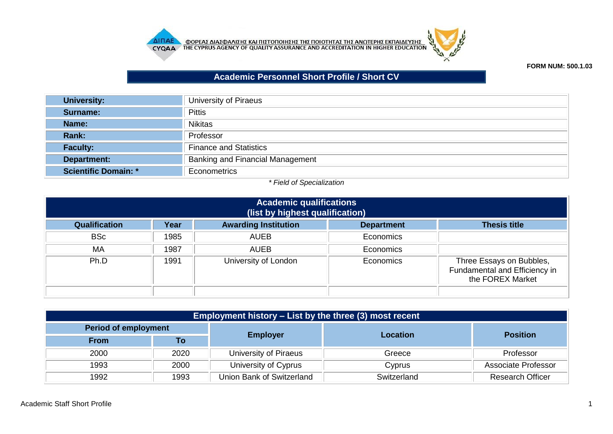



## **FORM NUM: 500.1.03**

## **Academic Personnel Short Profile / Short CV**

| <b>University:</b>   | University of Piraeus            |
|----------------------|----------------------------------|
| <b>Surname:</b>      | <b>Pittis</b>                    |
| Name:                | <b>Nikitas</b>                   |
| Rank:                | Professor                        |
| <b>Faculty:</b>      | <b>Finance and Statistics</b>    |
| Department:          | Banking and Financial Management |
| Scientific Domain: * | Econometrics                     |

## *\* Field of Specialization*

| <b>Academic qualifications</b><br>(list by highest qualification) |      |                             |                   |                                                                               |
|-------------------------------------------------------------------|------|-----------------------------|-------------------|-------------------------------------------------------------------------------|
| <b>Qualification</b>                                              | Year | <b>Awarding Institution</b> | <b>Department</b> | <b>Thesis title</b>                                                           |
| <b>BSc</b>                                                        | 1985 | <b>AUEB</b>                 | Economics         |                                                                               |
| <b>MA</b>                                                         | 1987 | <b>AUEB</b>                 | Economics         |                                                                               |
| Ph.D                                                              | 1991 | University of London        | Economics         | Three Essays on Bubbles,<br>Fundamental and Efficiency in<br>the FOREX Market |
|                                                                   |      |                             |                   |                                                                               |

| Employment history – List by the three (3) most recent |      |                           |             |                         |  |
|--------------------------------------------------------|------|---------------------------|-------------|-------------------------|--|
| <b>Period of employment</b>                            |      |                           |             |                         |  |
| <b>From</b>                                            | To   | <b>Employer</b>           | Location    | <b>Position</b>         |  |
| 2000                                                   | 2020 | University of Piraeus     | Greece      | Professor               |  |
| 1993                                                   | 2000 | University of Cyprus      | Cyprus      | Associate Professor     |  |
| 1992                                                   | 1993 | Union Bank of Switzerland | Switzerland | <b>Research Officer</b> |  |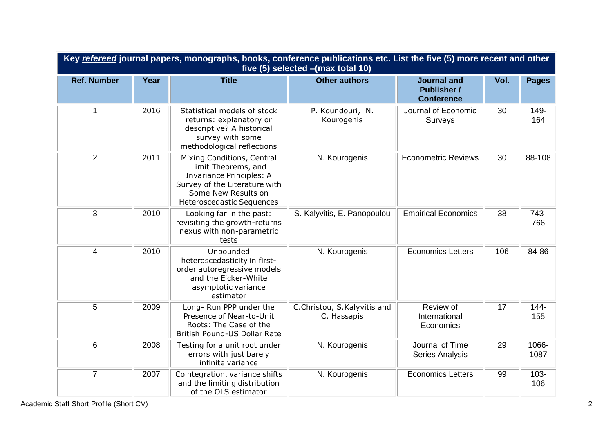| Key refereed journal papers, monographs, books, conference publications etc. List the five (5) more recent and other<br>five (5) selected - (max total 10) |      |                                                                                                                                                                           |                                            |                                                               |      |                |
|------------------------------------------------------------------------------------------------------------------------------------------------------------|------|---------------------------------------------------------------------------------------------------------------------------------------------------------------------------|--------------------------------------------|---------------------------------------------------------------|------|----------------|
| <b>Ref. Number</b>                                                                                                                                         | Year | <b>Title</b>                                                                                                                                                              | <b>Other authors</b>                       | <b>Journal and</b><br><b>Publisher /</b><br><b>Conference</b> | Vol. | <b>Pages</b>   |
| $\mathbf{1}$                                                                                                                                               | 2016 | Statistical models of stock<br>returns: explanatory or<br>descriptive? A historical<br>survey with some<br>methodological reflections                                     | P. Koundouri, N.<br>Kourogenis             | Journal of Economic<br>Surveys                                | 30   | 149-<br>164    |
| $\overline{2}$                                                                                                                                             | 2011 | Mixing Conditions, Central<br>Limit Theorems, and<br><b>Invariance Principles: A</b><br>Survey of the Literature with<br>Some New Results on<br>Heteroscedastic Sequences | N. Kourogenis                              | <b>Econometric Reviews</b>                                    | 30   | 88-108         |
| $\overline{3}$                                                                                                                                             | 2010 | Looking far in the past:<br>revisiting the growth-returns<br>nexus with non-parametric<br>tests                                                                           | S. Kalyvitis, E. Panopoulou                | <b>Empirical Economics</b>                                    | 38   | 743-<br>766    |
| $\overline{4}$                                                                                                                                             | 2010 | Unbounded<br>heteroscedasticity in first-<br>order autoregressive models<br>and the Eicker-White<br>asymptotic variance<br>estimator                                      | N. Kourogenis                              | <b>Economics Letters</b>                                      | 106  | 84-86          |
| 5                                                                                                                                                          | 2009 | Long- Run PPP under the<br>Presence of Near-to-Unit<br>Roots: The Case of the<br>British Pound-US Dollar Rate                                                             | C.Christou, S.Kalyvitis and<br>C. Hassapis | Review of<br>International<br>Economics                       | 17   | $144 -$<br>155 |
| 6                                                                                                                                                          | 2008 | Testing for a unit root under<br>errors with just barely<br>infinite variance                                                                                             | N. Kourogenis                              | Journal of Time<br>Series Analysis                            | 29   | 1066-<br>1087  |
| $\overline{7}$                                                                                                                                             | 2007 | Cointegration, variance shifts<br>and the limiting distribution<br>of the OLS estimator                                                                                   | N. Kourogenis                              | <b>Economics Letters</b>                                      | 99   | $103 -$<br>106 |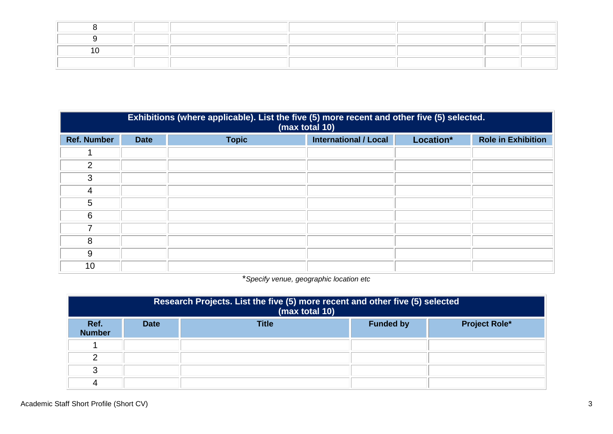| Exhibitions (where applicable). List the five (5) more recent and other five (5) selected.<br>(max total 10) |             |              |                              |           |                           |
|--------------------------------------------------------------------------------------------------------------|-------------|--------------|------------------------------|-----------|---------------------------|
| <b>Ref. Number</b>                                                                                           | <b>Date</b> | <b>Topic</b> | <b>International / Local</b> | Location* | <b>Role in Exhibition</b> |
|                                                                                                              |             |              |                              |           |                           |
| 2                                                                                                            |             |              |                              |           |                           |
| 3                                                                                                            |             |              |                              |           |                           |
| 4                                                                                                            |             |              |                              |           |                           |
| 5                                                                                                            |             |              |                              |           |                           |
| 6                                                                                                            |             |              |                              |           |                           |
|                                                                                                              |             |              |                              |           |                           |
| 8                                                                                                            |             |              |                              |           |                           |
| 9                                                                                                            |             |              |                              |           |                           |
| 10                                                                                                           |             |              |                              |           |                           |

\**Specify venue, geographic location etc*

| Research Projects. List the five (5) more recent and other five (5) selected<br>(max total 10) |             |              |                  |                      |  |
|------------------------------------------------------------------------------------------------|-------------|--------------|------------------|----------------------|--|
| Ref.<br><b>Number</b>                                                                          | <b>Date</b> | <b>Title</b> | <b>Funded by</b> | <b>Project Role*</b> |  |
|                                                                                                |             |              |                  |                      |  |
| ⌒                                                                                              |             |              |                  |                      |  |
| ≏                                                                                              |             |              |                  |                      |  |
|                                                                                                |             |              |                  |                      |  |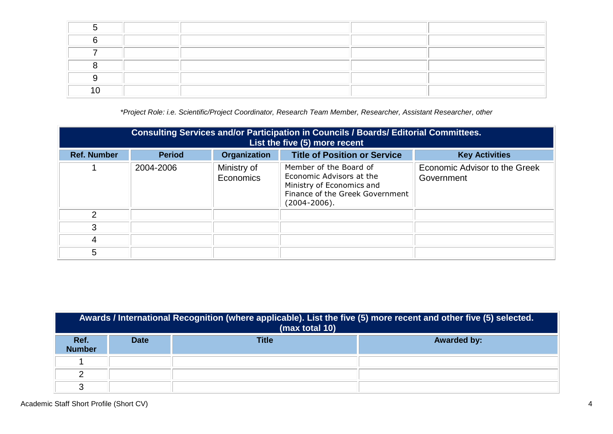*\*Project Role: i.e. Scientific/Project Coordinator, Research Team Member, Researcher, Assistant Researcher, other*

| <b>Consulting Services and/or Participation in Councils / Boards/ Editorial Committees.</b><br>List the five (5) more recent |               |                          |                                                                                                                                         |                                             |
|------------------------------------------------------------------------------------------------------------------------------|---------------|--------------------------|-----------------------------------------------------------------------------------------------------------------------------------------|---------------------------------------------|
| <b>Ref. Number</b>                                                                                                           | <b>Period</b> | <b>Organization</b>      | <b>Title of Position or Service</b>                                                                                                     | <b>Key Activities</b>                       |
|                                                                                                                              | 2004-2006     | Ministry of<br>Economics | Member of the Board of<br>Economic Advisors at the<br>Ministry of Economics and<br>Finance of the Greek Government<br>$(2004 - 2006)$ . | Economic Advisor to the Greek<br>Government |
| $\mathcal{P}$                                                                                                                |               |                          |                                                                                                                                         |                                             |
| 3                                                                                                                            |               |                          |                                                                                                                                         |                                             |
| 4                                                                                                                            |               |                          |                                                                                                                                         |                                             |
| 5                                                                                                                            |               |                          |                                                                                                                                         |                                             |

|                       | Awards / International Recognition (where applicable). List the five (5) more recent and other five (5) selected.<br>(max total 10) |              |                    |  |  |  |
|-----------------------|-------------------------------------------------------------------------------------------------------------------------------------|--------------|--------------------|--|--|--|
| Ref.<br><b>Number</b> | <b>Date</b>                                                                                                                         | <b>Title</b> | <b>Awarded by:</b> |  |  |  |
|                       |                                                                                                                                     |              |                    |  |  |  |
|                       |                                                                                                                                     |              |                    |  |  |  |
| ົ                     |                                                                                                                                     |              |                    |  |  |  |